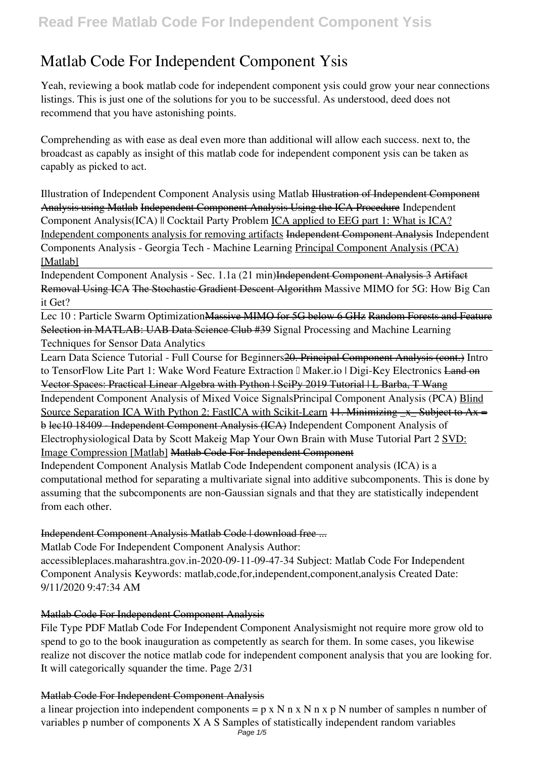# **Matlab Code For Independent Component Ysis**

Yeah, reviewing a book **matlab code for independent component ysis** could grow your near connections listings. This is just one of the solutions for you to be successful. As understood, deed does not recommend that you have astonishing points.

Comprehending as with ease as deal even more than additional will allow each success. next to, the broadcast as capably as insight of this matlab code for independent component ysis can be taken as capably as picked to act.

*Illustration of Independent Component Analysis using Matlab* Illustration of Independent Component Analysis using Matlab Independent Component Analysis Using the ICA Procedure *Independent Component Analysis(ICA) || Cocktail Party Problem* ICA applied to EEG part 1: What is ICA? Independent components analysis for removing artifacts Independent Component Analysis *Independent Components Analysis - Georgia Tech - Machine Learning* Principal Component Analysis (PCA) [Matlab]

Independent Component Analysis - Sec. 1.1a (21 min)Independent Component Analysis 3 Artifact Removal Using ICA The Stochastic Gradient Descent Algorithm *Massive MIMO for 5G: How Big Can it Get?*

Lec 10 : Particle Swarm OptimizationMassive MIMO for 5G below 6 GHz Random Forests and Feature Selection in MATLAB: UAB Data Science Club #39 *Signal Processing and Machine Learning Techniques for Sensor Data Analytics*

Learn Data Science Tutorial - Full Course for Beginners20. Principal Component Analysis (cont.) **Intro** to TensorFlow Lite Part 1: Wake Word Feature Extraction I Maker.io | Digi-Key Electronics Land on Vector Spaces: Practical Linear Algebra with Python | SciPy 2019 Tutorial | L Barba, T Wang Independent Component Analysis of Mixed Voice Signals**Principal Component Analysis (PCA)** Blind

Source Separation ICA With Python 2: FastICA with Scikit-Learn  $11$ . Minimizing  $\bar{x}$  Subject to Ax = b lec10 18409 - Independent Component Analysis (ICA) *Independent Component Analysis of Electrophysiological Data by Scott Makeig* **Map Your Own Brain with Muse Tutorial Part 2** SVD: Image Compression [Matlab] Matlab Code For Independent Component

Independent Component Analysis Matlab Code Independent component analysis (ICA) is a computational method for separating a multivariate signal into additive subcomponents. This is done by assuming that the subcomponents are non-Gaussian signals and that they are statistically independent from each other.

## Independent Component Analysis Matlab Code | download free ...

Matlab Code For Independent Component Analysis Author:

accessibleplaces.maharashtra.gov.in-2020-09-11-09-47-34 Subject: Matlab Code For Independent Component Analysis Keywords: matlab,code,for,independent,component,analysis Created Date: 9/11/2020 9:47:34 AM

## Matlab Code For Independent Component Analysis

File Type PDF Matlab Code For Independent Component Analysismight not require more grow old to spend to go to the book inauguration as competently as search for them. In some cases, you likewise realize not discover the notice matlab code for independent component analysis that you are looking for. It will categorically squander the time. Page 2/31

## Matlab Code For Independent Component Analysis

a linear projection into independent components =  $p \times N$  n  $x \times N$  n  $x \times p$  N number of samples n number of variables p number of components X A S Samples of statistically independent random variables Page  $1/5$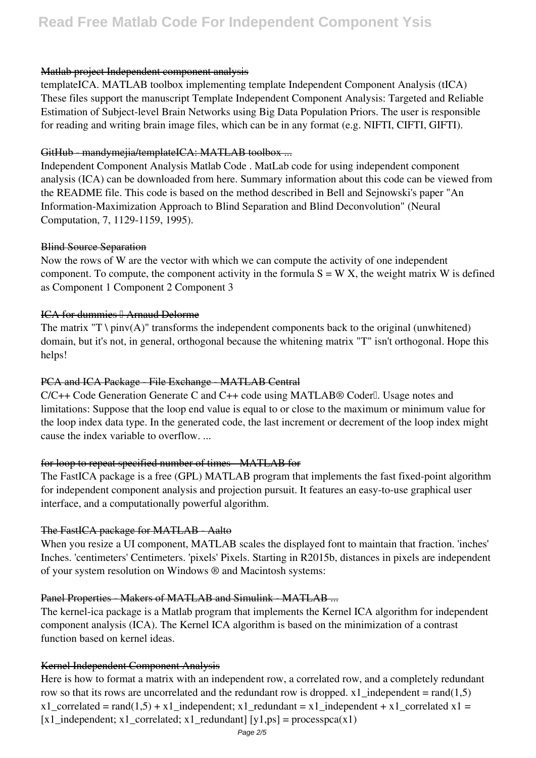#### Matlab project Independent component analysis

templateICA. MATLAB toolbox implementing template Independent Component Analysis (tICA) These files support the manuscript Template Independent Component Analysis: Targeted and Reliable Estimation of Subject-level Brain Networks using Big Data Population Priors. The user is responsible for reading and writing brain image files, which can be in any format (e.g. NIFTI, CIFTI, GIFTI).

#### GitHub - mandymejia/templateICA: MATLAB toolbox ...

Independent Component Analysis Matlab Code . MatLab code for using independent component analysis (ICA) can be downloaded from here. Summary information about this code can be viewed from the README file. This code is based on the method described in Bell and Sejnowski's paper "An Information-Maximization Approach to Blind Separation and Blind Deconvolution" (Neural Computation, 7, 1129-1159, 1995).

#### Blind Source Separation

Now the rows of W are the vector with which we can compute the activity of one independent component. To compute, the component activity in the formula  $S = W X$ , the weight matrix W is defined as Component 1 Component 2 Component 3

#### ICA for dummies || Arnaud Delorme

The matrix "T \ pinv(A)" transforms the independent components back to the original (unwhitened) domain, but it's not, in general, orthogonal because the whitening matrix "T" isn't orthogonal. Hope this helps!

#### PCA and ICA Package File Exchange MATLAB Central

 $C/C++$  Code Generation Generate C and  $C++$  code using MATLAB® Coderl Usage notes and limitations: Suppose that the loop end value is equal to or close to the maximum or minimum value for the loop index data type. In the generated code, the last increment or decrement of the loop index might cause the index variable to overflow. ...

## for loop to repeat specified number of times MATLAB for

The FastICA package is a free (GPL) MATLAB program that implements the fast fixed-point algorithm for independent component analysis and projection pursuit. It features an easy-to-use graphical user interface, and a computationally powerful algorithm.

## The FastICA package for MATLAB - Aalto

When you resize a UI component, MATLAB scales the displayed font to maintain that fraction. 'inches' Inches. 'centimeters' Centimeters. 'pixels' Pixels. Starting in R2015b, distances in pixels are independent of your system resolution on Windows ® and Macintosh systems:

## Panel Properties Makers of MATLAB and Simulink MATLAB ...

The kernel-ica package is a Matlab program that implements the Kernel ICA algorithm for independent component analysis (ICA). The Kernel ICA algorithm is based on the minimization of a contrast function based on kernel ideas.

## Kernel Independent Component Analysis

Here is how to format a matrix with an independent row, a correlated row, and a completely redundant row so that its rows are uncorrelated and the redundant row is dropped. x1 independent =  $rand(1,5)$ x1\_correlated = rand(1,5) + x1\_independent; x1\_redundant = x1\_independent + x1\_correlated x1 = [x1\_independent; x1\_correlated; x1\_redundant] [y1,ps] = processpca(x1)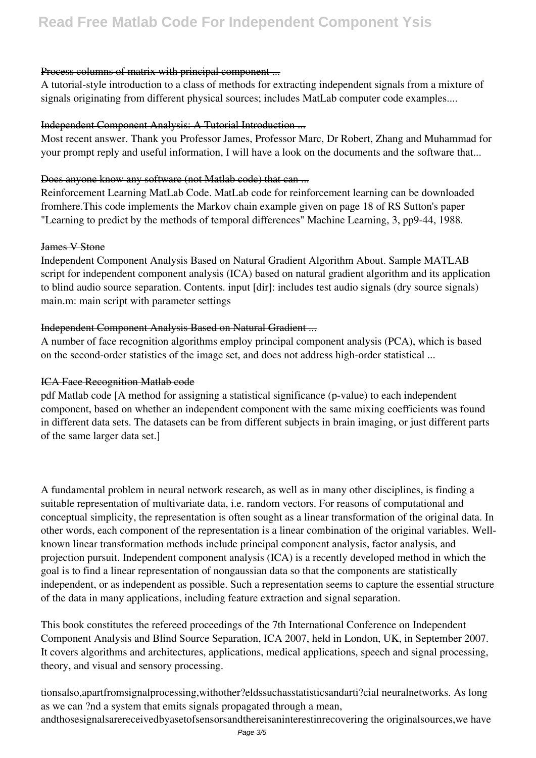## **Read Free Matlab Code For Independent Component Ysis**

#### Process columns of matrix with principal component ...

A tutorial-style introduction to a class of methods for extracting independent signals from a mixture of signals originating from different physical sources; includes MatLab computer code examples....

#### Independent Component Analysis: A Tutorial Introduction ...

Most recent answer. Thank you Professor James, Professor Marc, Dr Robert, Zhang and Muhammad for your prompt reply and useful information, I will have a look on the documents and the software that...

#### Does anyone know any software (not Matlab code) that can ...

Reinforcement Learning MatLab Code. MatLab code for reinforcement learning can be downloaded fromhere.This code implements the Markov chain example given on page 18 of RS Sutton's paper "Learning to predict by the methods of temporal differences" Machine Learning, 3, pp9-44, 1988.

#### James V Stone

Independent Component Analysis Based on Natural Gradient Algorithm About. Sample MATLAB script for independent component analysis (ICA) based on natural gradient algorithm and its application to blind audio source separation. Contents. input [dir]: includes test audio signals (dry source signals) main.m: main script with parameter settings

#### Independent Component Analysis Based on Natural Gradient ...

A number of face recognition algorithms employ principal component analysis (PCA), which is based on the second-order statistics of the image set, and does not address high-order statistical ...

#### ICA Face Recognition Matlab code

pdf Matlab code [A method for assigning a statistical significance (p-value) to each independent component, based on whether an independent component with the same mixing coefficients was found in different data sets. The datasets can be from different subjects in brain imaging, or just different parts of the same larger data set.]

A fundamental problem in neural network research, as well as in many other disciplines, is finding a suitable representation of multivariate data, i.e. random vectors. For reasons of computational and conceptual simplicity, the representation is often sought as a linear transformation of the original data. In other words, each component of the representation is a linear combination of the original variables. Wellknown linear transformation methods include principal component analysis, factor analysis, and projection pursuit. Independent component analysis (ICA) is a recently developed method in which the goal is to find a linear representation of nongaussian data so that the components are statistically independent, or as independent as possible. Such a representation seems to capture the essential structure of the data in many applications, including feature extraction and signal separation.

This book constitutes the refereed proceedings of the 7th International Conference on Independent Component Analysis and Blind Source Separation, ICA 2007, held in London, UK, in September 2007. It covers algorithms and architectures, applications, medical applications, speech and signal processing, theory, and visual and sensory processing.

tionsalso,apartfromsignalprocessing,withother?eldssuchasstatisticsandarti?cial neuralnetworks. As long as we can ?nd a system that emits signals propagated through a mean,

andthosesignalsarereceivedbyasetofsensorsandthereisaninterestinrecovering the originalsources,we have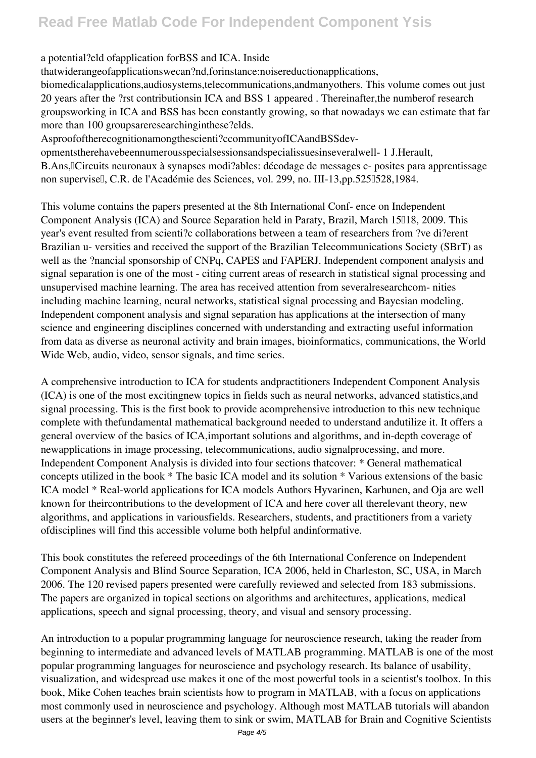## a potential?eld of application for BSS and ICA. Inside

thatwiderangeofapplicationswecan?nd,forinstance:noisereductionapplications,

biomedicalapplications, audiosystems, telecommunications, and many others. This volume comes out just 20 years after the ?rst contributions in ICA and BSS 1 appeared. Thereinafter, the number of research groupsworking in ICA and BSS has been constantly growing, so that nowadays we can estimate that far more than 100 groupsare researching in these? elds.

Asproofoftherecognitionamongthescienti?ccommunityofICAandBSSdev-

opmentstherehavebeennumerousspecialsessionsandspecialissuesinseveralwell- 1 J.Herault, B. Ans, [Circuits neuronaux à synapses modi?ables: décodage de messages c- posites para apprentissage non supervisell, C.R. de l'Académie des Sciences, vol. 299, no. III-13,pp.525l528,1984.

This volume contains the papers presented at the 8th International Conf- ence on Independent Component Analysis (ICA) and Source Separation held in Paraty, Brazil, March 15018, 2009. This year's event resulted from scienti?c collaborations between a team of researchers from ?ve di?erent Brazilian u-versities and received the support of the Brazilian Telecommunications Society (SBrT) as well as the ?nancial sponsorship of CNPq, CAPES and FAPERJ. Independent component analysis and signal separation is one of the most - citing current areas of research in statistical signal processing and unsupervised machine learning. The area has received attention from several research com-nities including machine learning, neural networks, statistical signal processing and Bayesian modeling. Independent component analysis and signal separation has applications at the intersection of many science and engineering disciplines concerned with understanding and extracting useful information from data as diverse as neuronal activity and brain images, bioinformatics, communications, the World Wide Web, audio, video, sensor signals, and time series.

A comprehensive introduction to ICA for students and practitioners Independent Component Analysis (ICA) is one of the most excitingnew topics in fields such as neural networks, advanced statistics, and signal processing. This is the first book to provide acomprehensive introduction to this new technique complete with the fundamental mathematical background needed to understand and utilize it. It offers a general overview of the basics of ICA, important solutions and algorithms, and in-depth coverage of newapplications in image processing, telecommunications, audio signal processing, and more. Independent Component Analysis is divided into four sections that cover: \* General mathematical concepts utilized in the book \* The basic ICA model and its solution \* Various extensions of the basic ICA model \* Real-world applications for ICA models Authors Hyvarinen, Karhunen, and Oja are well known for their contributions to the development of ICA and here cover all there levant theory, new algorithms, and applications in variousfields. Researchers, students, and practitioners from a variety ofdisciplines will find this accessible volume both helpful and informative.

This book constitutes the refereed proceedings of the 6th International Conference on Independent Component Analysis and Blind Source Separation, ICA 2006, held in Charleston, SC, USA, in March 2006. The 120 revised papers presented were carefully reviewed and selected from 183 submissions. The papers are organized in topical sections on algorithms and architectures, applications, medical applications, speech and signal processing, theory, and visual and sensory processing.

An introduction to a popular programming language for neuroscience research, taking the reader from beginning to intermediate and advanced levels of MATLAB programming. MATLAB is one of the most popular programming languages for neuroscience and psychology research. Its balance of usability, visualization, and widespread use makes it one of the most powerful tools in a scientist's toolbox. In this book, Mike Cohen teaches brain scientists how to program in MATLAB, with a focus on applications most commonly used in neuroscience and psychology. Although most MATLAB tutorials will abandon users at the beginner's level, leaving them to sink or swim, MATLAB for Brain and Cognitive Scientists